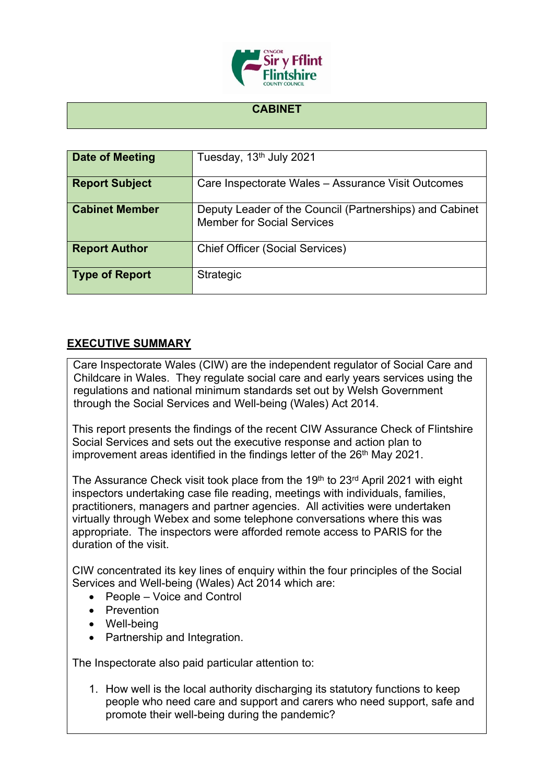

## **CABINET**

| Date of Meeting       | Tuesday, 13 <sup>th</sup> July 2021                                                          |
|-----------------------|----------------------------------------------------------------------------------------------|
| <b>Report Subject</b> | Care Inspectorate Wales - Assurance Visit Outcomes                                           |
| <b>Cabinet Member</b> | Deputy Leader of the Council (Partnerships) and Cabinet<br><b>Member for Social Services</b> |
| <b>Report Author</b>  | <b>Chief Officer (Social Services)</b>                                                       |
| <b>Type of Report</b> | <b>Strategic</b>                                                                             |

## **EXECUTIVE SUMMARY**

Care Inspectorate Wales (CIW) are the independent regulator of Social Care and Childcare in Wales. They regulate social care and early years services using the regulations and national minimum standards set out by Welsh Government through the Social Services and Well-being (Wales) Act 2014.

This report presents the findings of the recent CIW Assurance Check of Flintshire Social Services and sets out the executive response and action plan to improvement areas identified in the findings letter of the 26<sup>th</sup> May 2021.

The Assurance Check visit took place from the 19<sup>th</sup> to 23<sup>rd</sup> April 2021 with eight inspectors undertaking case file reading, meetings with individuals, families, practitioners, managers and partner agencies. All activities were undertaken virtually through Webex and some telephone conversations where this was appropriate. The inspectors were afforded remote access to PARIS for the duration of the visit.

CIW concentrated its key lines of enquiry within the four principles of the Social Services and Well-being (Wales) Act 2014 which are:

- People Voice and Control
- Prevention
- Well-being
- Partnership and Integration.

The Inspectorate also paid particular attention to:

1. How well is the local authority discharging its statutory functions to keep people who need care and support and carers who need support, safe and promote their well-being during the pandemic?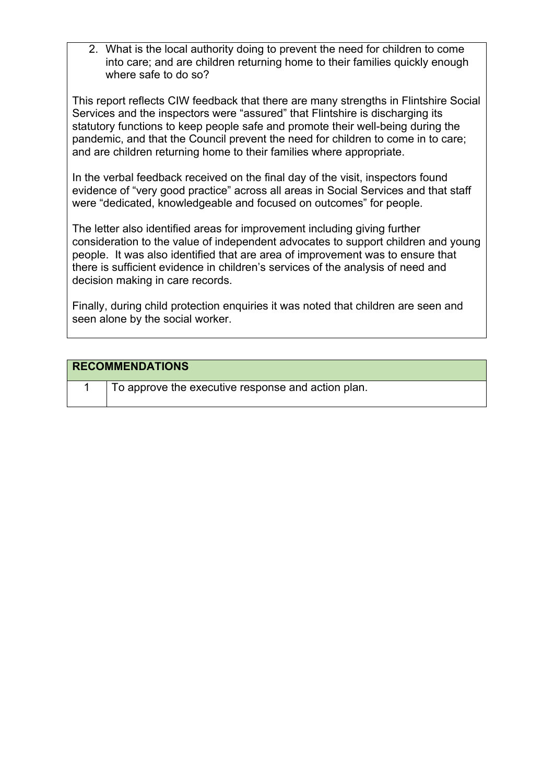2. What is the local authority doing to prevent the need for children to come into care; and are children returning home to their families quickly enough where safe to do so?

This report reflects CIW feedback that there are many strengths in Flintshire Social Services and the inspectors were "assured" that Flintshire is discharging its statutory functions to keep people safe and promote their well-being during the pandemic, and that the Council prevent the need for children to come in to care; and are children returning home to their families where appropriate.

In the verbal feedback received on the final day of the visit, inspectors found evidence of "very good practice" across all areas in Social Services and that staff were "dedicated, knowledgeable and focused on outcomes" for people.

The letter also identified areas for improvement including giving further consideration to the value of independent advocates to support children and young people. It was also identified that are area of improvement was to ensure that there is sufficient evidence in children's services of the analysis of need and decision making in care records.

Finally, during child protection enquiries it was noted that children are seen and seen alone by the social worker.

## **RECOMMENDATIONS**

1 To approve the executive response and action plan.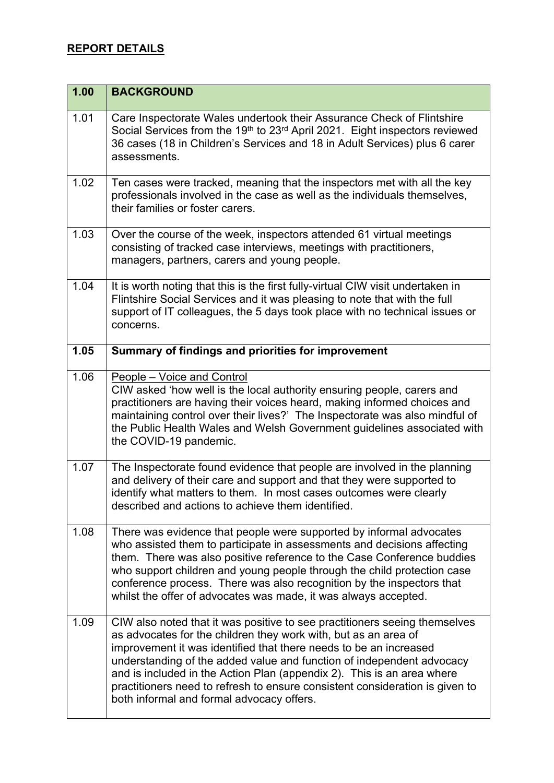## **REPORT DETAILS**

| 1.00 | <b>BACKGROUND</b>                                                                                                                                                                                                                                                                                                                                                                                                                                                                                  |
|------|----------------------------------------------------------------------------------------------------------------------------------------------------------------------------------------------------------------------------------------------------------------------------------------------------------------------------------------------------------------------------------------------------------------------------------------------------------------------------------------------------|
| 1.01 | Care Inspectorate Wales undertook their Assurance Check of Flintshire<br>Social Services from the 19th to 23rd April 2021. Eight inspectors reviewed<br>36 cases (18 in Children's Services and 18 in Adult Services) plus 6 carer<br>assessments.                                                                                                                                                                                                                                                 |
| 1.02 | Ten cases were tracked, meaning that the inspectors met with all the key<br>professionals involved in the case as well as the individuals themselves,<br>their families or foster carers.                                                                                                                                                                                                                                                                                                          |
| 1.03 | Over the course of the week, inspectors attended 61 virtual meetings<br>consisting of tracked case interviews, meetings with practitioners,<br>managers, partners, carers and young people.                                                                                                                                                                                                                                                                                                        |
| 1.04 | It is worth noting that this is the first fully-virtual CIW visit undertaken in<br>Flintshire Social Services and it was pleasing to note that with the full<br>support of IT colleagues, the 5 days took place with no technical issues or<br>concerns.                                                                                                                                                                                                                                           |
| 1.05 | Summary of findings and priorities for improvement                                                                                                                                                                                                                                                                                                                                                                                                                                                 |
| 1.06 | People – Voice and Control<br>CIW asked 'how well is the local authority ensuring people, carers and<br>practitioners are having their voices heard, making informed choices and<br>maintaining control over their lives?' The Inspectorate was also mindful of<br>the Public Health Wales and Welsh Government guidelines associated with<br>the COVID-19 pandemic.                                                                                                                               |
| 1.07 | The Inspectorate found evidence that people are involved in the planning<br>and delivery of their care and support and that they were supported to<br>identify what matters to them. In most cases outcomes were clearly<br>described and actions to achieve them identified.                                                                                                                                                                                                                      |
| 1.08 | There was evidence that people were supported by informal advocates<br>who assisted them to participate in assessments and decisions affecting<br>them. There was also positive reference to the Case Conference buddies<br>who support children and young people through the child protection case<br>conference process. There was also recognition by the inspectors that<br>whilst the offer of advocates was made, it was always accepted.                                                    |
| 1.09 | CIW also noted that it was positive to see practitioners seeing themselves<br>as advocates for the children they work with, but as an area of<br>improvement it was identified that there needs to be an increased<br>understanding of the added value and function of independent advocacy<br>and is included in the Action Plan (appendix 2). This is an area where<br>practitioners need to refresh to ensure consistent consideration is given to<br>both informal and formal advocacy offers. |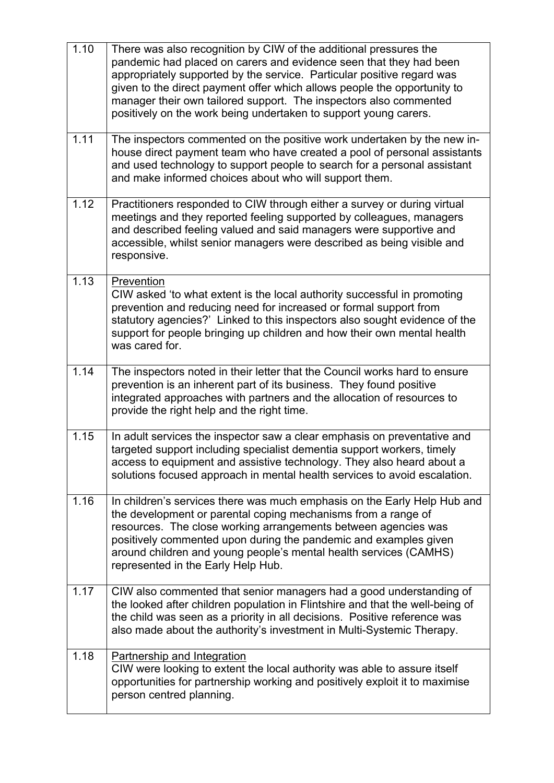| 1.10 | There was also recognition by CIW of the additional pressures the<br>pandemic had placed on carers and evidence seen that they had been<br>appropriately supported by the service. Particular positive regard was<br>given to the direct payment offer which allows people the opportunity to<br>manager their own tailored support. The inspectors also commented<br>positively on the work being undertaken to support young carers. |
|------|----------------------------------------------------------------------------------------------------------------------------------------------------------------------------------------------------------------------------------------------------------------------------------------------------------------------------------------------------------------------------------------------------------------------------------------|
| 1.11 | The inspectors commented on the positive work undertaken by the new in-<br>house direct payment team who have created a pool of personal assistants<br>and used technology to support people to search for a personal assistant<br>and make informed choices about who will support them.                                                                                                                                              |
| 1.12 | Practitioners responded to CIW through either a survey or during virtual<br>meetings and they reported feeling supported by colleagues, managers<br>and described feeling valued and said managers were supportive and<br>accessible, whilst senior managers were described as being visible and<br>responsive.                                                                                                                        |
| 1.13 | Prevention<br>CIW asked 'to what extent is the local authority successful in promoting<br>prevention and reducing need for increased or formal support from<br>statutory agencies?' Linked to this inspectors also sought evidence of the<br>support for people bringing up children and how their own mental health<br>was cared for.                                                                                                 |
| 1.14 | The inspectors noted in their letter that the Council works hard to ensure<br>prevention is an inherent part of its business. They found positive<br>integrated approaches with partners and the allocation of resources to<br>provide the right help and the right time.                                                                                                                                                              |
| 1.15 | In adult services the inspector saw a clear emphasis on preventative and<br>targeted support including specialist dementia support workers, timely<br>access to equipment and assistive technology. They also heard about a<br>solutions focused approach in mental health services to avoid escalation.                                                                                                                               |
| 1.16 | In children's services there was much emphasis on the Early Help Hub and<br>the development or parental coping mechanisms from a range of<br>resources. The close working arrangements between agencies was<br>positively commented upon during the pandemic and examples given<br>around children and young people's mental health services (CAMHS)<br>represented in the Early Help Hub.                                             |
| 1.17 | CIW also commented that senior managers had a good understanding of<br>the looked after children population in Flintshire and that the well-being of<br>the child was seen as a priority in all decisions. Positive reference was<br>also made about the authority's investment in Multi-Systemic Therapy.                                                                                                                             |
| 1.18 | Partnership and Integration<br>CIW were looking to extent the local authority was able to assure itself<br>opportunities for partnership working and positively exploit it to maximise<br>person centred planning.                                                                                                                                                                                                                     |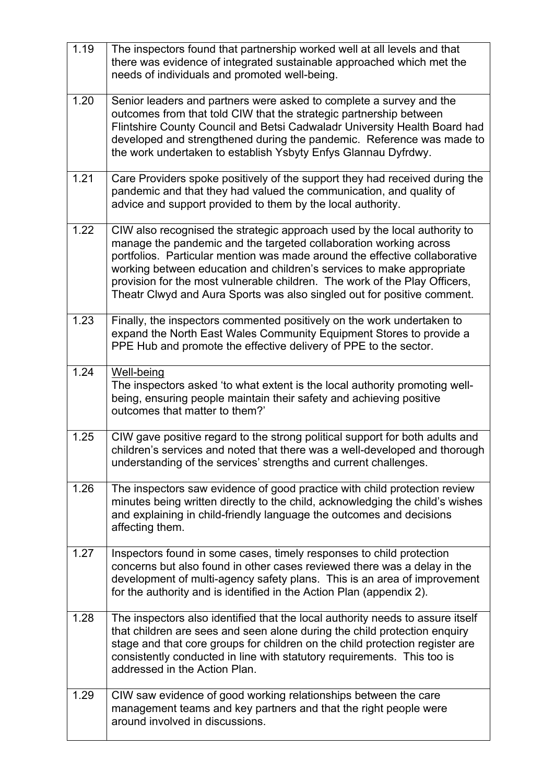| 1.19 | The inspectors found that partnership worked well at all levels and that<br>there was evidence of integrated sustainable approached which met the<br>needs of individuals and promoted well-being.                                                                                                                                                                                                                                                             |
|------|----------------------------------------------------------------------------------------------------------------------------------------------------------------------------------------------------------------------------------------------------------------------------------------------------------------------------------------------------------------------------------------------------------------------------------------------------------------|
| 1.20 | Senior leaders and partners were asked to complete a survey and the<br>outcomes from that told CIW that the strategic partnership between<br>Flintshire County Council and Betsi Cadwaladr University Health Board had<br>developed and strengthened during the pandemic. Reference was made to<br>the work undertaken to establish Ysbyty Enfys Glannau Dyfrdwy.                                                                                              |
| 1.21 | Care Providers spoke positively of the support they had received during the<br>pandemic and that they had valued the communication, and quality of<br>advice and support provided to them by the local authority.                                                                                                                                                                                                                                              |
| 1.22 | CIW also recognised the strategic approach used by the local authority to<br>manage the pandemic and the targeted collaboration working across<br>portfolios. Particular mention was made around the effective collaborative<br>working between education and children's services to make appropriate<br>provision for the most vulnerable children. The work of the Play Officers,<br>Theatr Clwyd and Aura Sports was also singled out for positive comment. |
| 1.23 | Finally, the inspectors commented positively on the work undertaken to<br>expand the North East Wales Community Equipment Stores to provide a<br>PPE Hub and promote the effective delivery of PPE to the sector.                                                                                                                                                                                                                                              |
| 1.24 | Well-being<br>The inspectors asked 'to what extent is the local authority promoting well-<br>being, ensuring people maintain their safety and achieving positive<br>outcomes that matter to them?'                                                                                                                                                                                                                                                             |
| 1.25 | CIW gave positive regard to the strong political support for both adults and<br>children's services and noted that there was a well-developed and thorough<br>understanding of the services' strengths and current challenges.                                                                                                                                                                                                                                 |
| 1.26 | The inspectors saw evidence of good practice with child protection review<br>minutes being written directly to the child, acknowledging the child's wishes<br>and explaining in child-friendly language the outcomes and decisions<br>affecting them.                                                                                                                                                                                                          |
| 1.27 | Inspectors found in some cases, timely responses to child protection<br>concerns but also found in other cases reviewed there was a delay in the<br>development of multi-agency safety plans. This is an area of improvement<br>for the authority and is identified in the Action Plan (appendix 2).                                                                                                                                                           |
| 1.28 | The inspectors also identified that the local authority needs to assure itself<br>that children are sees and seen alone during the child protection enquiry<br>stage and that core groups for children on the child protection register are<br>consistently conducted in line with statutory requirements. This too is<br>addressed in the Action Plan.                                                                                                        |
| 1.29 | CIW saw evidence of good working relationships between the care<br>management teams and key partners and that the right people were<br>around involved in discussions.                                                                                                                                                                                                                                                                                         |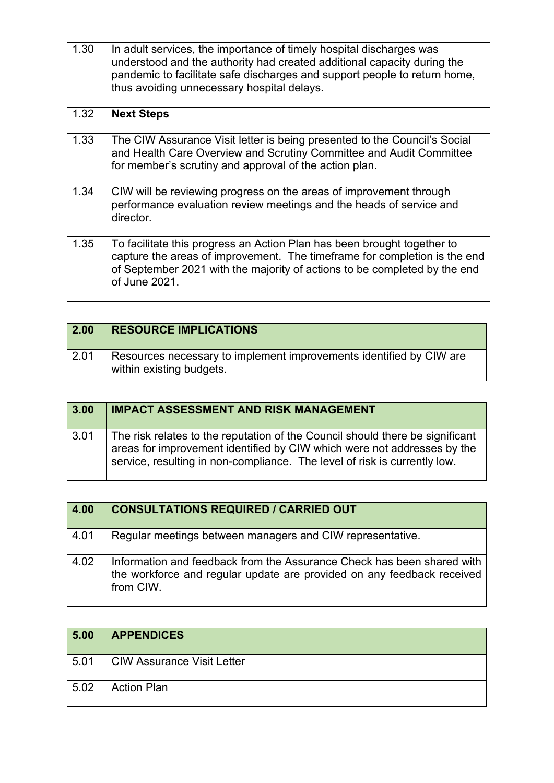| 1.30 | In adult services, the importance of timely hospital discharges was<br>understood and the authority had created additional capacity during the<br>pandemic to facilitate safe discharges and support people to return home,<br>thus avoiding unnecessary hospital delays. |
|------|---------------------------------------------------------------------------------------------------------------------------------------------------------------------------------------------------------------------------------------------------------------------------|
| 1.32 | <b>Next Steps</b>                                                                                                                                                                                                                                                         |
| 1.33 | The CIW Assurance Visit letter is being presented to the Council's Social<br>and Health Care Overview and Scrutiny Committee and Audit Committee<br>for member's scrutiny and approval of the action plan.                                                                |
| 1.34 | CIW will be reviewing progress on the areas of improvement through<br>performance evaluation review meetings and the heads of service and<br>director.                                                                                                                    |
| 1.35 | To facilitate this progress an Action Plan has been brought together to<br>capture the areas of improvement. The timeframe for completion is the end<br>of September 2021 with the majority of actions to be completed by the end<br>of June 2021.                        |

| $\vert$ 2.00 | <b>RESOURCE IMPLICATIONS</b>                                                                    |
|--------------|-------------------------------------------------------------------------------------------------|
| 2.01         | Resources necessary to implement improvements identified by CIW are<br>within existing budgets. |

| 3.00 | <b>IMPACT ASSESSMENT AND RISK MANAGEMENT</b>                                                                                                                                                                                          |
|------|---------------------------------------------------------------------------------------------------------------------------------------------------------------------------------------------------------------------------------------|
| 3.01 | The risk relates to the reputation of the Council should there be significant<br>areas for improvement identified by CIW which were not addresses by the<br>service, resulting in non-compliance. The level of risk is currently low. |

| 4.00 | <b>CONSULTATIONS REQUIRED / CARRIED OUT</b>                                                                                                                   |
|------|---------------------------------------------------------------------------------------------------------------------------------------------------------------|
| 4.01 | Regular meetings between managers and CIW representative.                                                                                                     |
| 4.02 | Information and feedback from the Assurance Check has been shared with<br>the workforce and regular update are provided on any feedback received<br>from CIW. |

| 5.00 | <b>APPENDICES</b>          |
|------|----------------------------|
| 5.01 | CIW Assurance Visit Letter |
| 5.02 | <b>Action Plan</b>         |